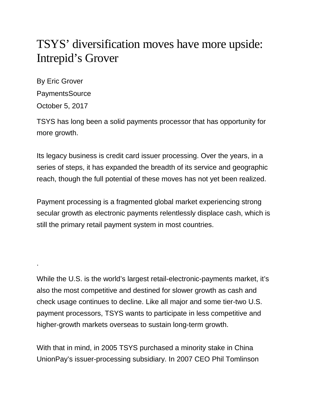## TSYS' diversification moves have more upside: Intrepid's Grover

By Eric Grover PaymentsSource October 5, 2017

.

TSYS has long been a solid payments processor that has opportunity for more growth.

Its legacy business is credit card issuer processing. Over the years, in a series of steps, it has expanded the breadth of its service and geographic reach, though the full potential of these moves has not yet been realized.

Payment processing is a fragmented global market experiencing strong secular growth as electronic payments relentlessly displace cash, which is still the primary retail payment system in most countries.

While the U.S. is the world's largest retail-electronic-payments market, it's also the most competitive and destined for slower growth as cash and check usage continues to decline. Like all major and some tier-two U.S. payment processors, TSYS wants to participate in less competitive and higher-growth markets overseas to sustain long-term growth.

With that in mind, in 2005 TSYS purchased a minority stake in China UnionPay's issuer-processing subsidiary. In 2007 CEO Phil Tomlinson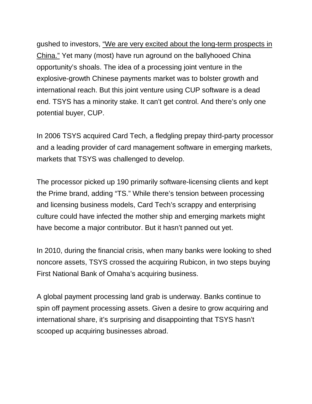gushed to investors, "We are very excited about the long-term prospects in [China."](https://seekingalpha.com/article/50996-total-system-services-q3-2007-earnings-call-transcript?part=single) Yet many (most) have run aground on the ballyhooed China opportunity's shoals. The idea of a processing joint venture in the explosive-growth Chinese payments market was to bolster growth and international reach. But this joint venture using CUP software is a dead end. TSYS has a minority stake. It can't get control. And there's only one potential buyer, CUP.

In 2006 TSYS acquired Card Tech, a fledgling prepay third-party processor and a leading provider of card management software in emerging markets, markets that TSYS was challenged to develop.

The processor picked up 190 primarily software-licensing clients and kept the Prime brand, adding "TS." While there's tension between processing and licensing business models, Card Tech's scrappy and enterprising culture could have infected the mother ship and emerging markets might have become a major contributor. But it hasn't panned out yet.

In 2010, during the financial crisis, when many banks were looking to shed noncore assets, TSYS crossed the acquiring Rubicon, in two steps buying First National Bank of Omaha's acquiring business.

A global payment processing land grab is underway. Banks continue to spin off payment processing assets. Given a desire to grow acquiring and international share, it's surprising and disappointing that TSYS hasn't scooped up acquiring businesses abroad.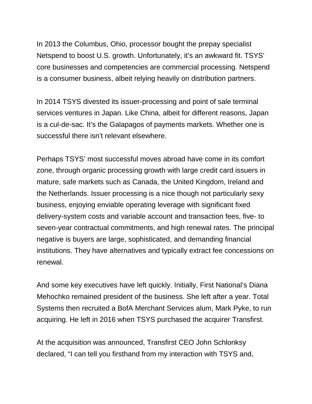In 2013 the Columbus, Ohio, processor bought the prepay specialist Netspend to boost U.S. growth. Unfortunately, it's an awkward fit. TSYS' core businesses and competencies are commercial processing. Netspend is a consumer business, albeit relying heavily on distribution partners.

In 2014 TSYS divested its issuer-processing and point of sale terminal services ventures in Japan. Like China, albeit for different reasons, Japan is a cul-de-sac. It's the Galapagos of payments markets. Whether one is successful there isn't relevant elsewhere.

Perhaps TSYS' most successful moves abroad have come in its comfort zone, through organic processing growth with large credit card issuers in mature, safe markets such as Canada, the United Kingdom, Ireland and the Netherlands. Issuer processing is a nice though not particularly sexy business, enjoying enviable operating leverage with significant fixed delivery-system costs and variable account and transaction fees, five- to seven-year contractual commitments, and high renewal rates. The principal negative is buyers are large, sophisticated, and demanding financial institutions. They have alternatives and typically extract fee concessions on renewal.

And some key executives have left quickly. Initially, First National's Diana Mehochko remained president of the business. She left after a year. Total Systems then recruited a BofA Merchant Services alum, Mark Pyke, to run acquiring. He left in 2016 when TSYS purchased the acquirer Transfirst.

At the acquisition was announced, Transfirst CEO John Schlonksy declared, "I can tell you firsthand from my interaction with TSYS and,